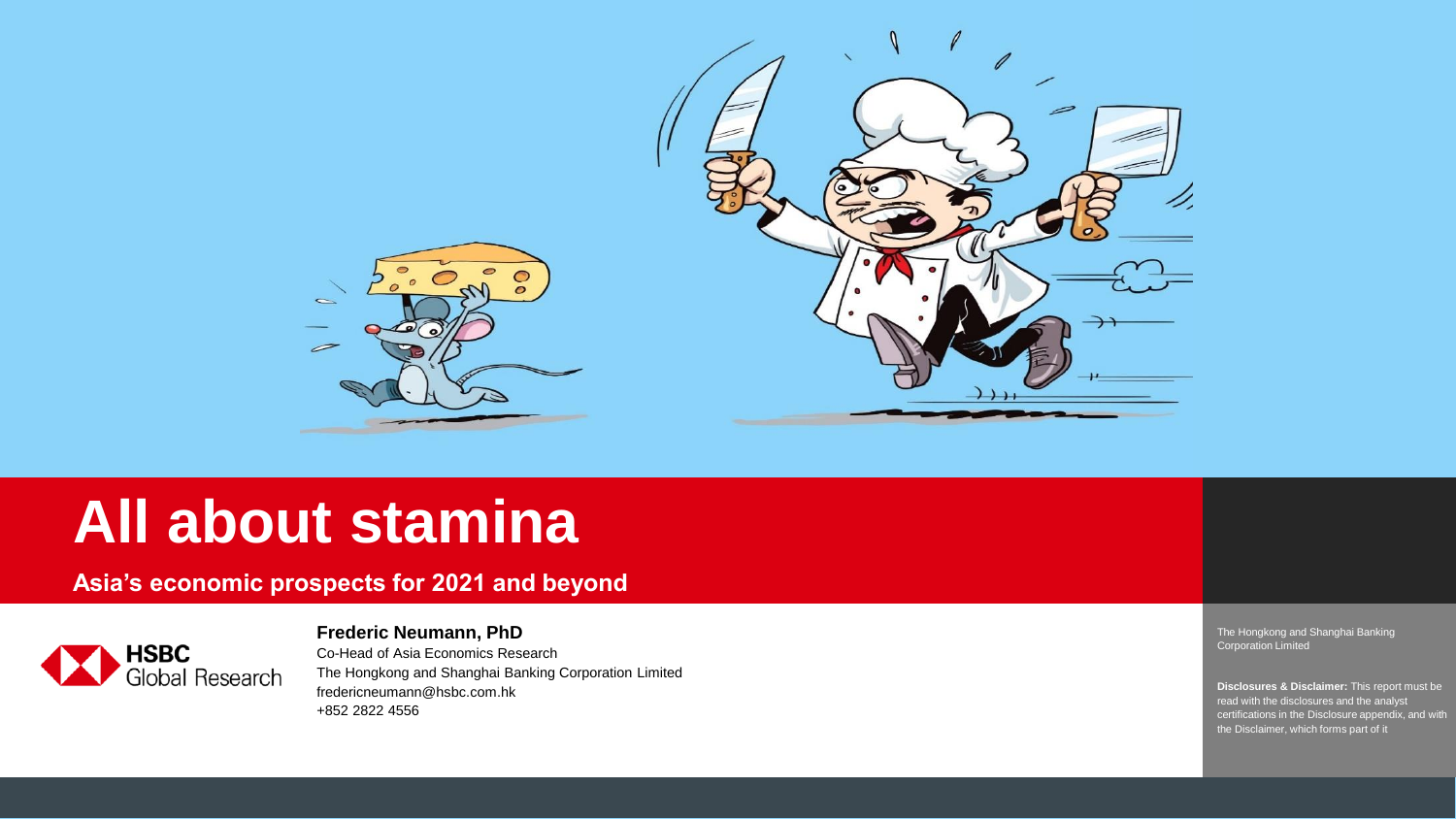

# **All about stamina**

**Asia's economic prospects for 2021 and beyond**



**Frederic Neumann, PhD**

Co -Head of Asia Economics Research The Hongkong and Shanghai Banking Corporation Limited fredericneumann@hsbc.com.hk +852 2822 4556

The Hongkong and Shanghai Banking Corporation Limited

**Disclosures & Disclaimer:** This report must be read with the disclosures and the analyst certifications in the Disclosure appendix, and with the Disclaimer, which forms part of it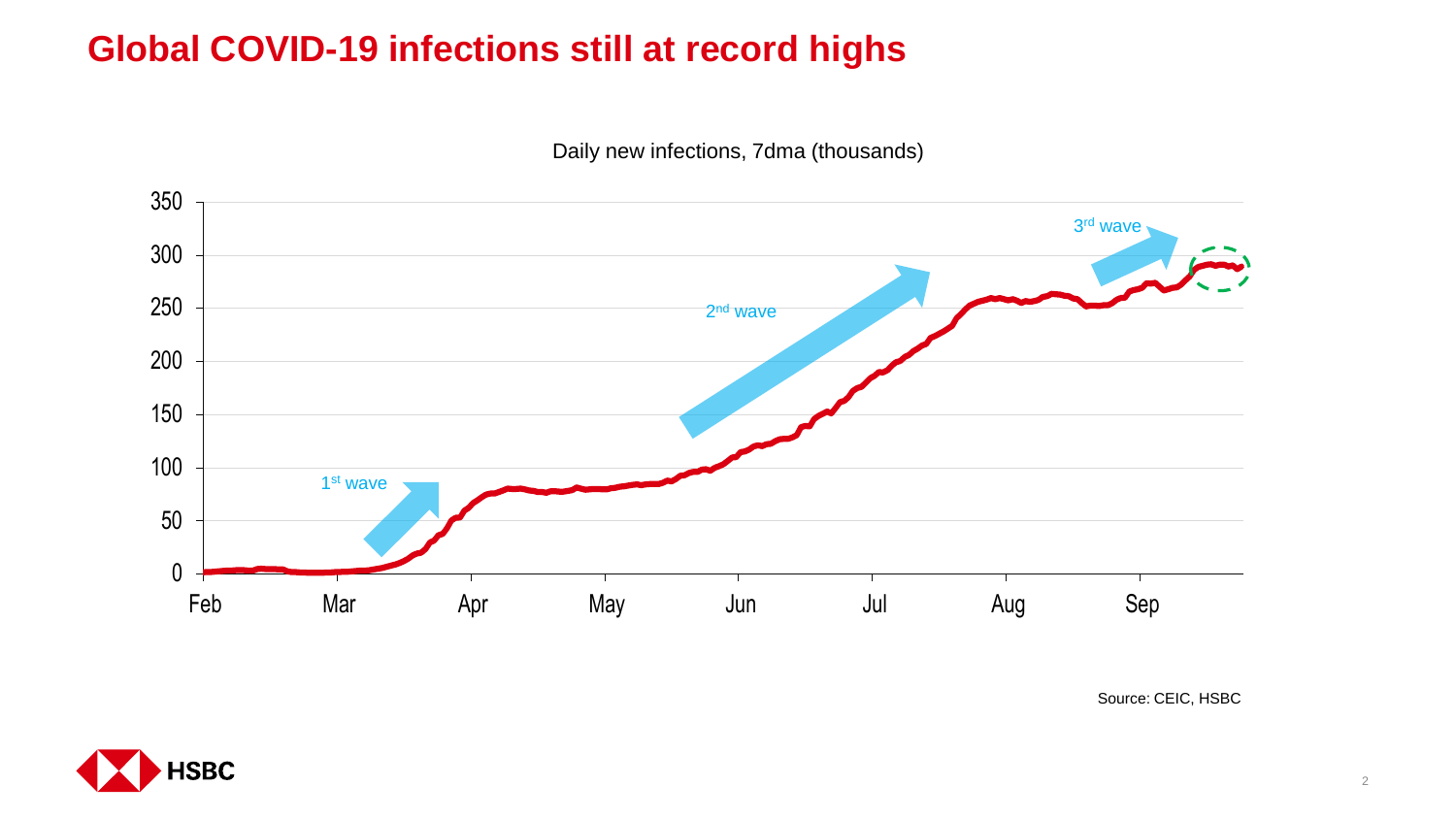# **Global COVID-19 infections still at record highs**

Daily new infections, 7dma (thousands)



Source: CEIC, HSBC

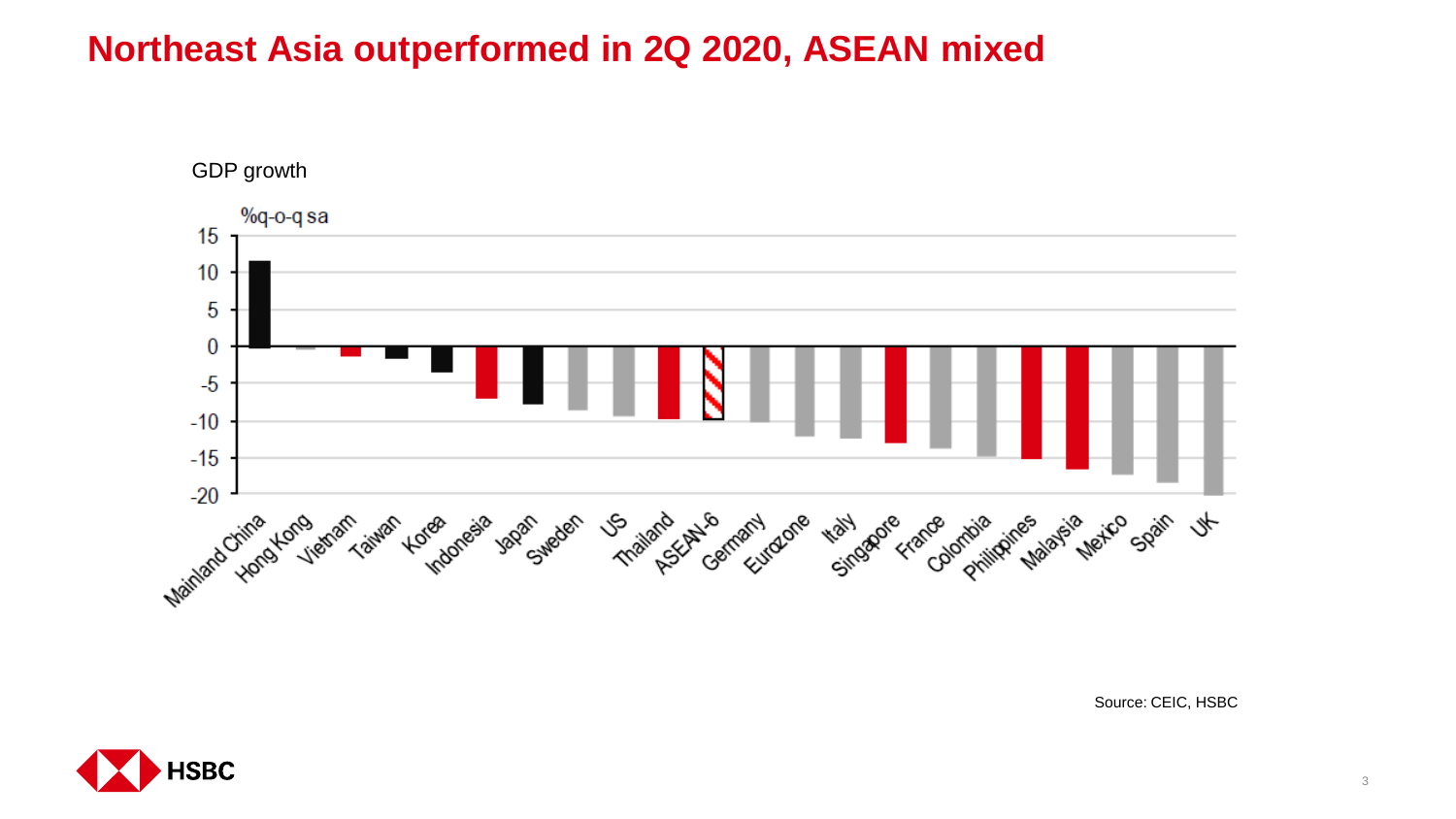## **Northeast Asia outperformed in 2Q 2020, ASEAN mixed**



Source: CEIC, HSBC

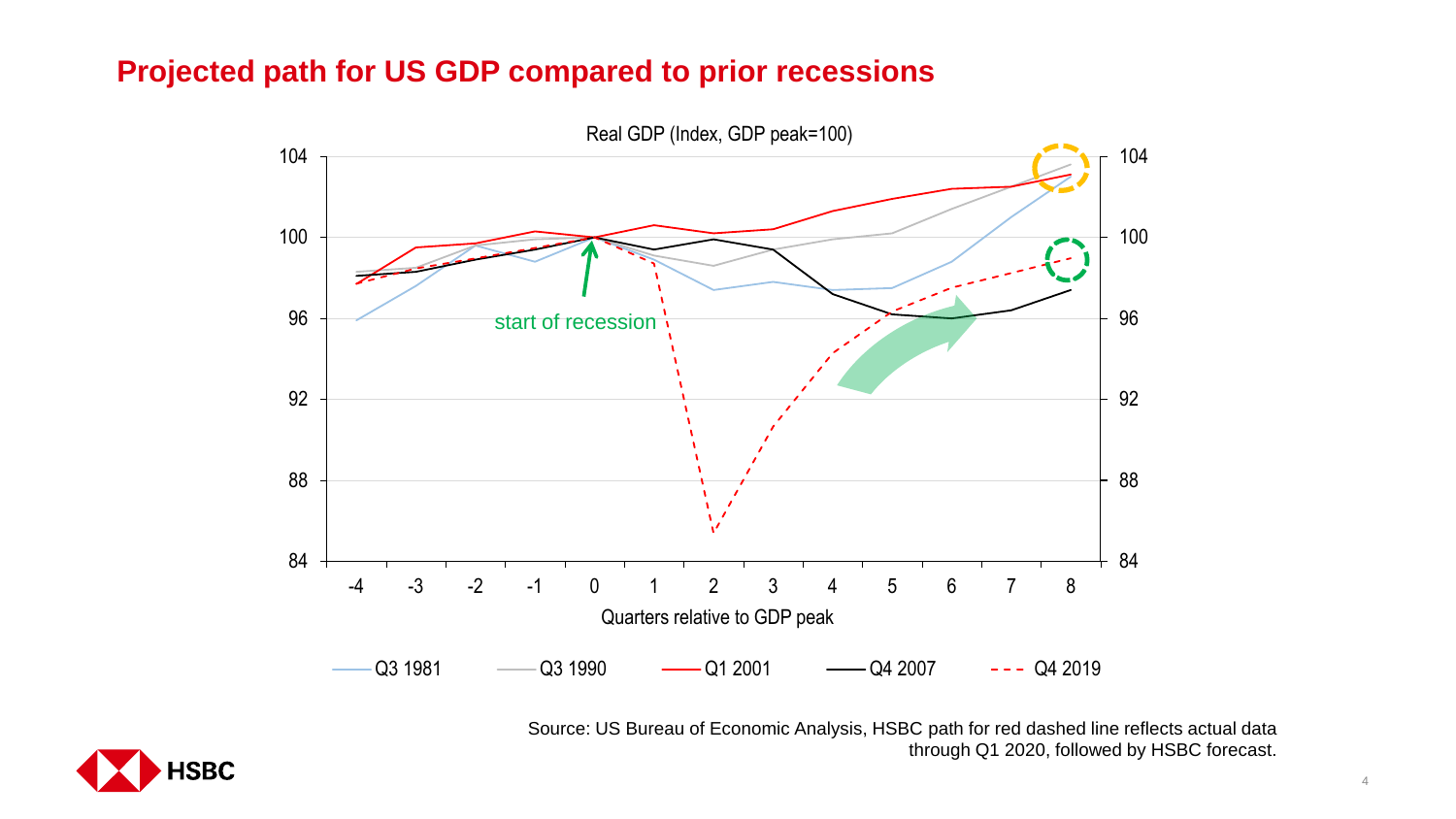### **Projected path for US GDP compared to prior recessions**



Source: US Bureau of Economic Analysis, HSBC path for red dashed line reflects actual data through Q1 2020, followed by HSBC forecast.

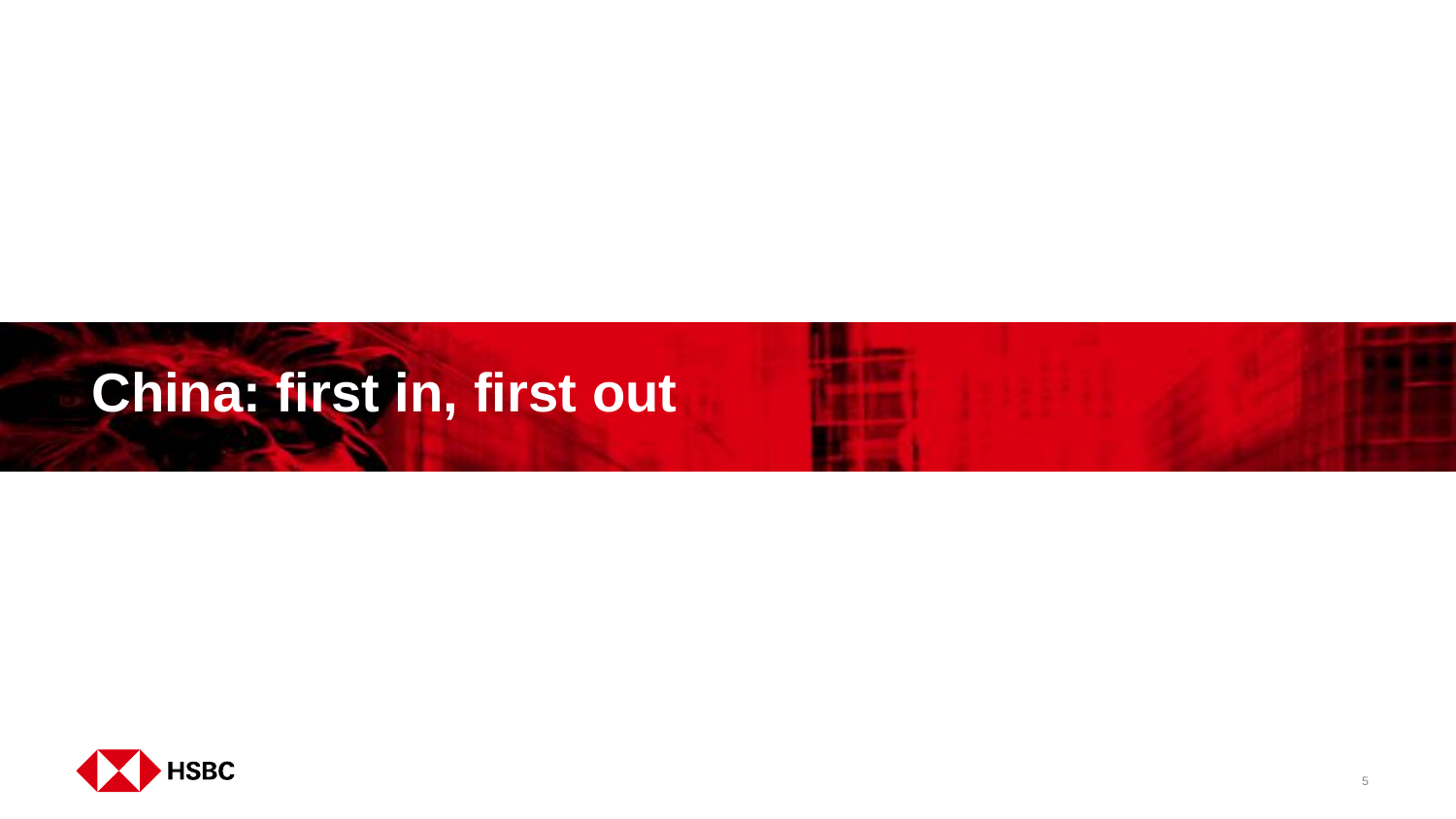# **China: first in, first out**



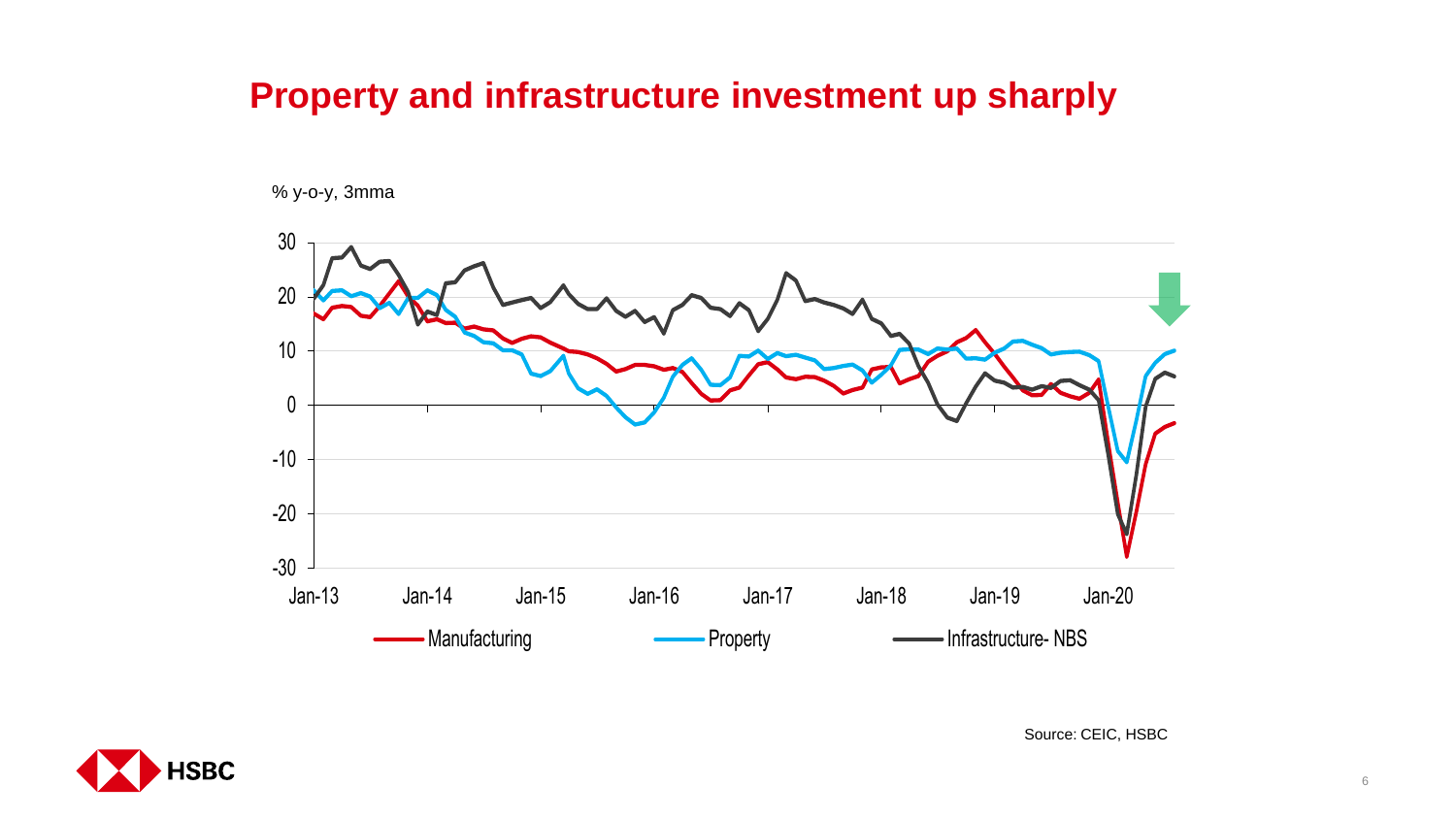## **Property and infrastructure investment up sharply**

% y-o-y, 3mma





Source: CEIC, HSBC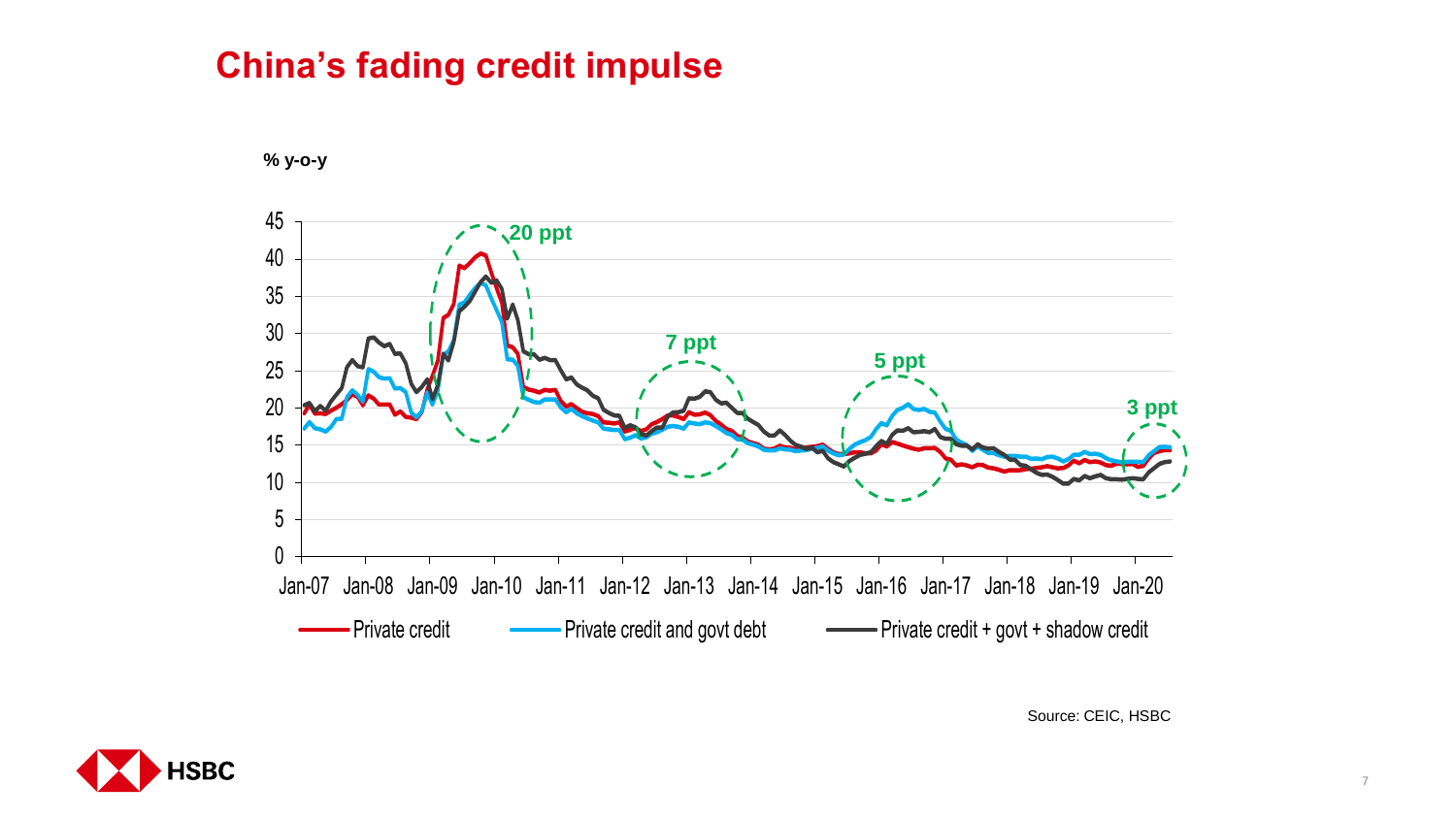## **China's fading credit impulse**



**% y-o-y**

Source: CEIC, HSBC

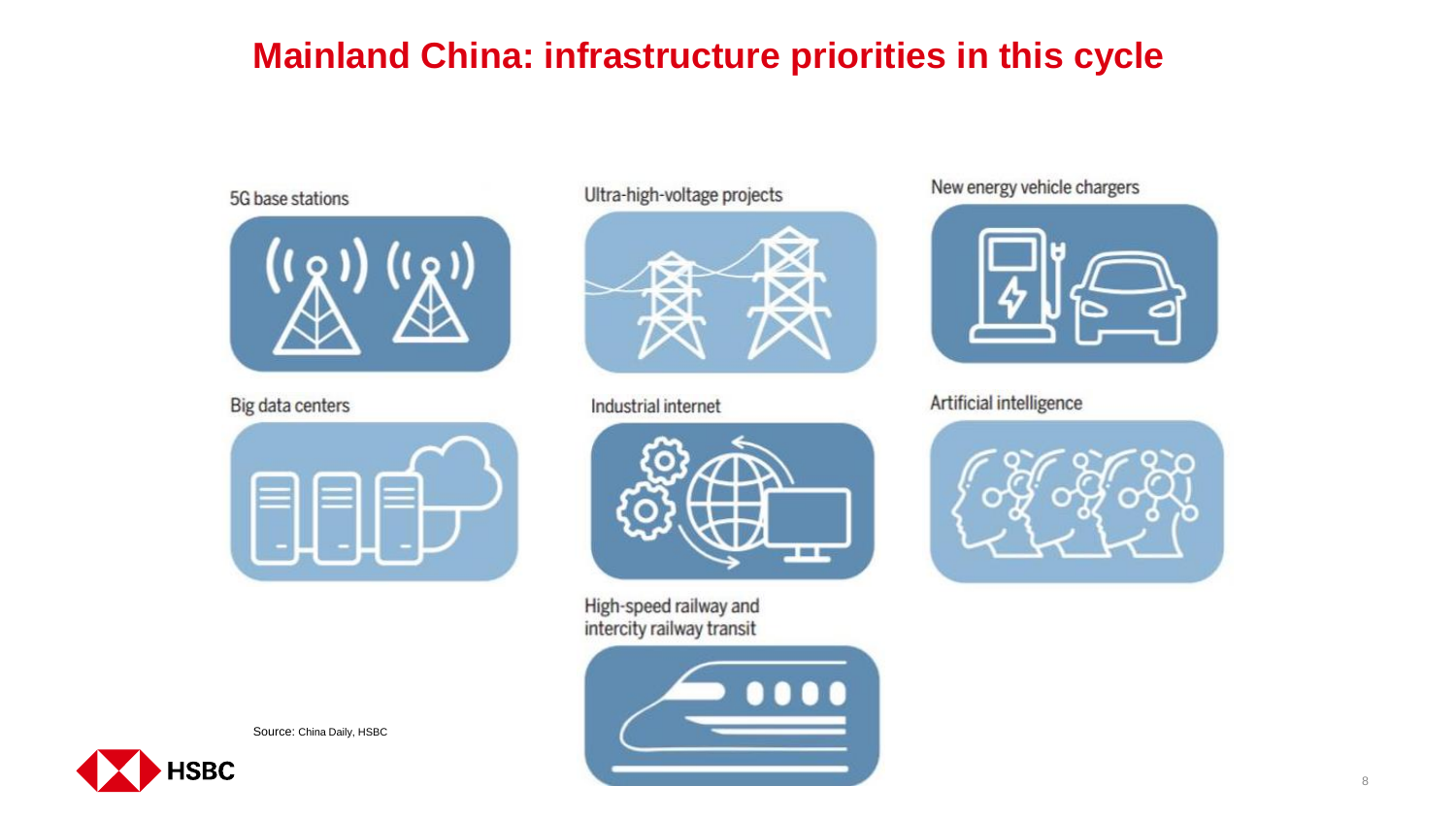# **Mainland China: infrastructure priorities in this cycle**

#### 5G base stations



Big data centers



### Ultra-high-voltage projects



Industrial internet



High-speed railway and intercity railway transit



New energy vehicle chargers



Artificial intelligence



Source: China Daily, HSBC

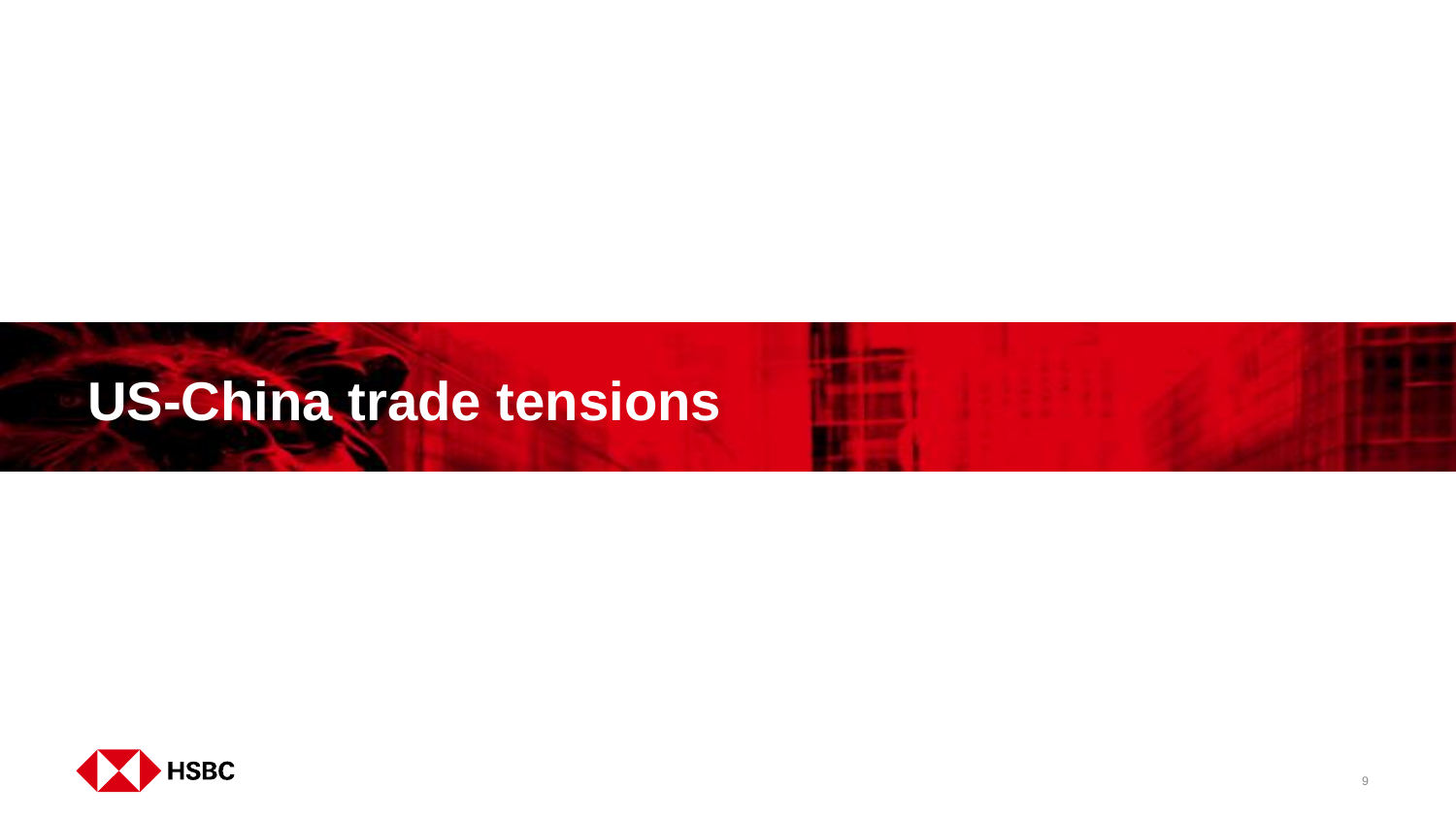# **US-China trade tensions**



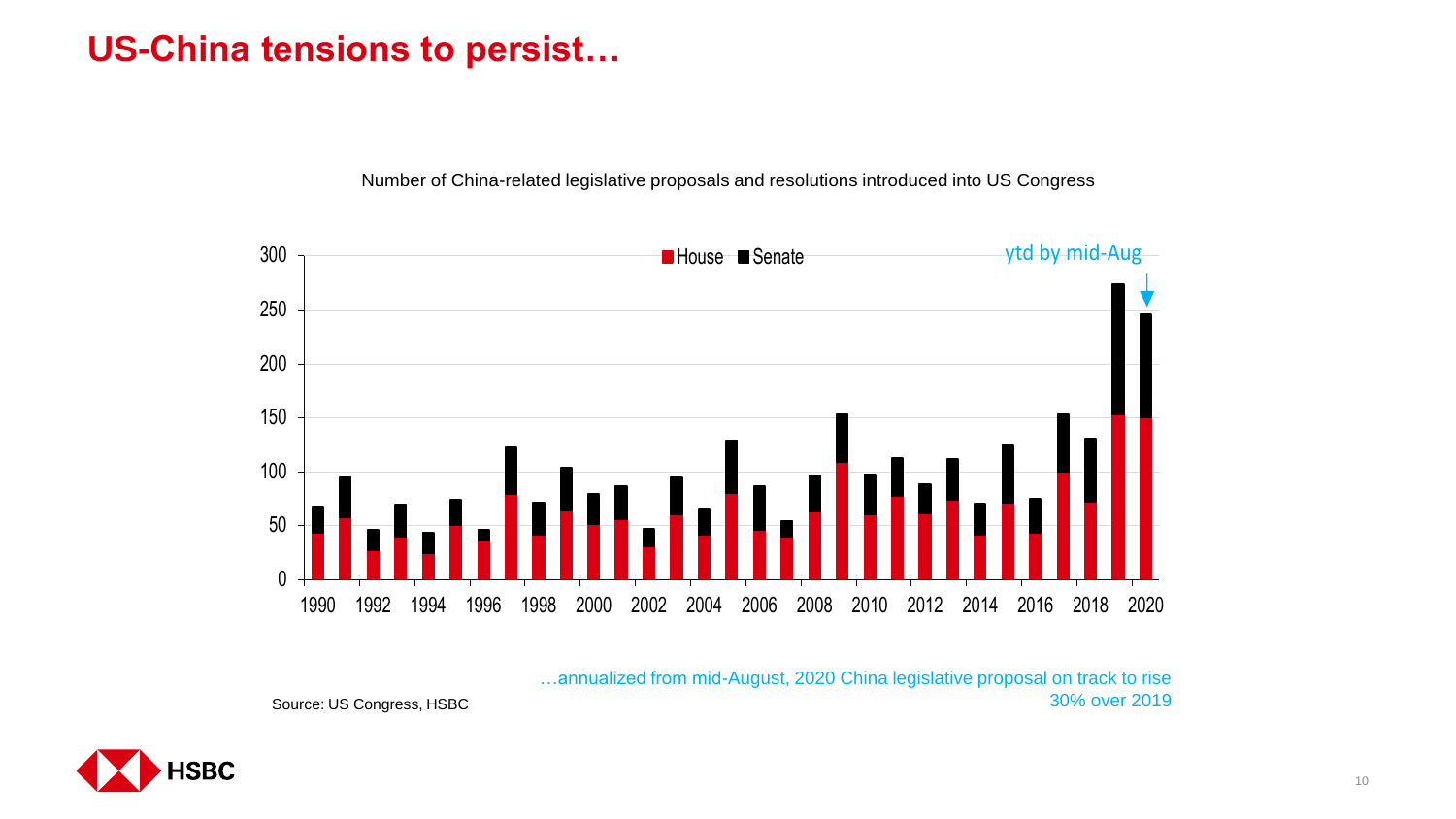## **US-China tensions to persist…**

Number of China-related legislative proposals and resolutions introduced into US Congress



…annualized from mid-August, 2020 China legislative proposal on track to rise 30% over 2019

Source: US Congress, HSBC

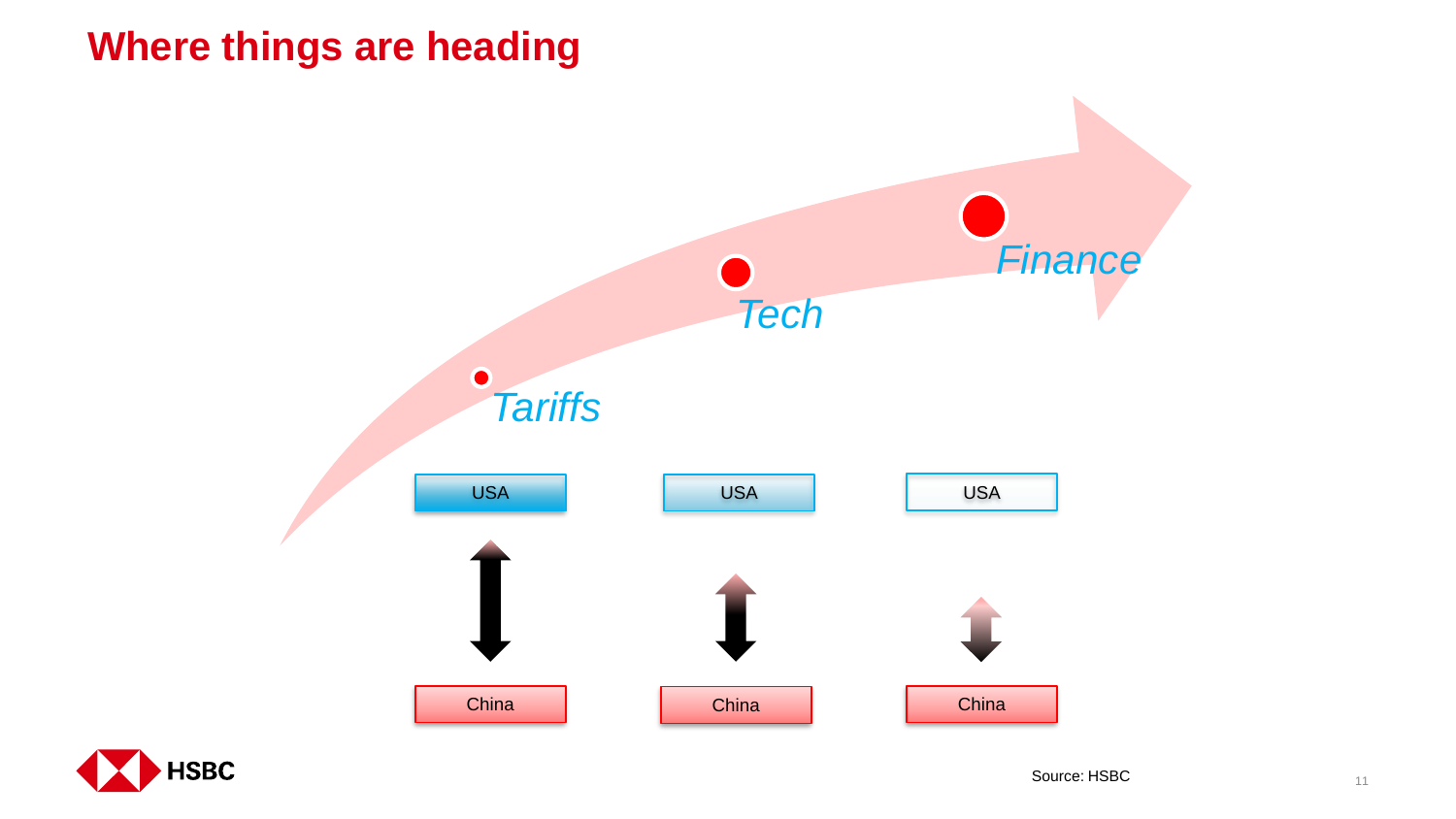# **Where things are heading**



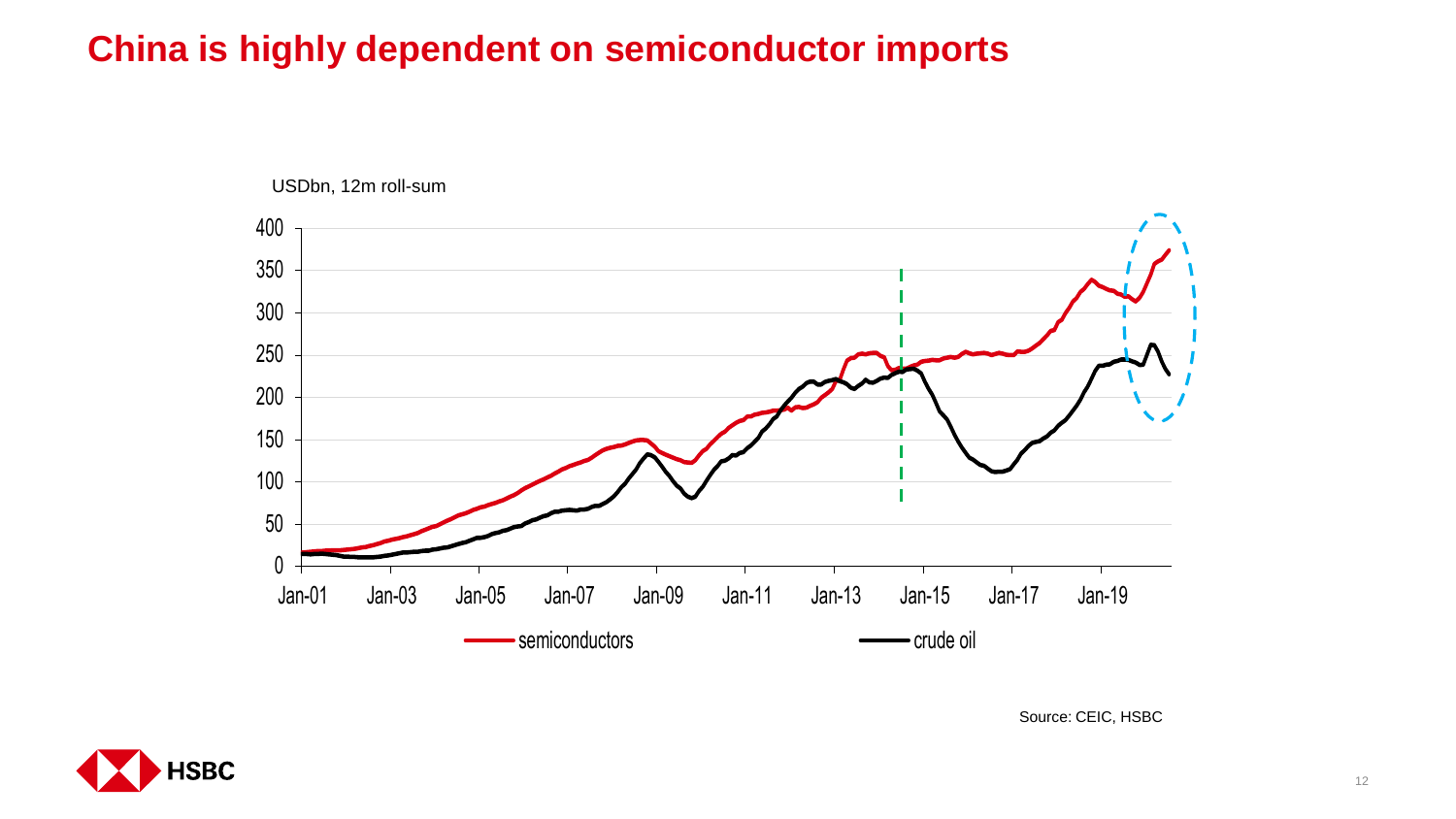# **China is highly dependent on semiconductor imports**



Source: CEIC, HSBC

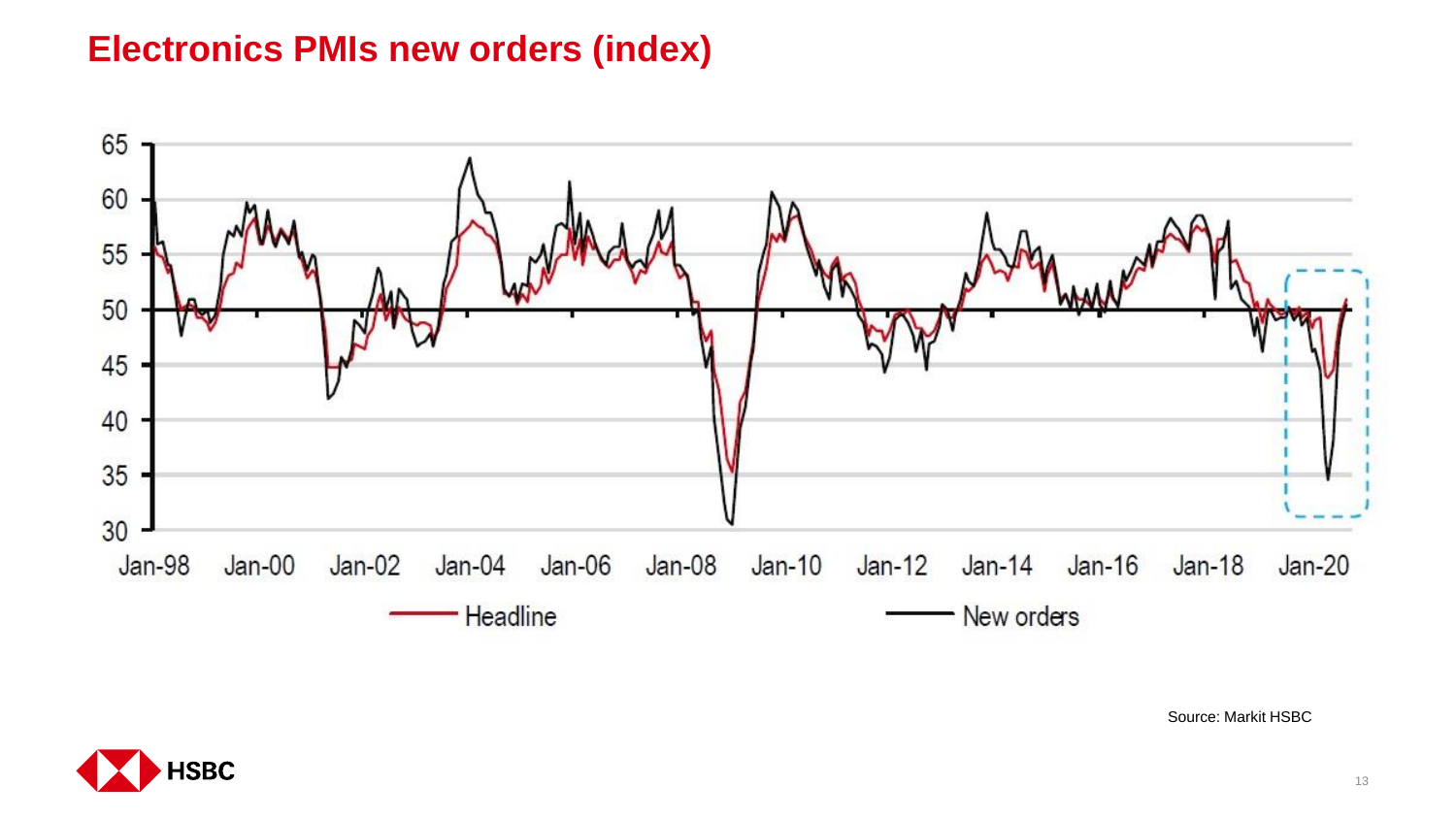## **Electronics PMIs new orders (index)**



Source: Markit HSBC

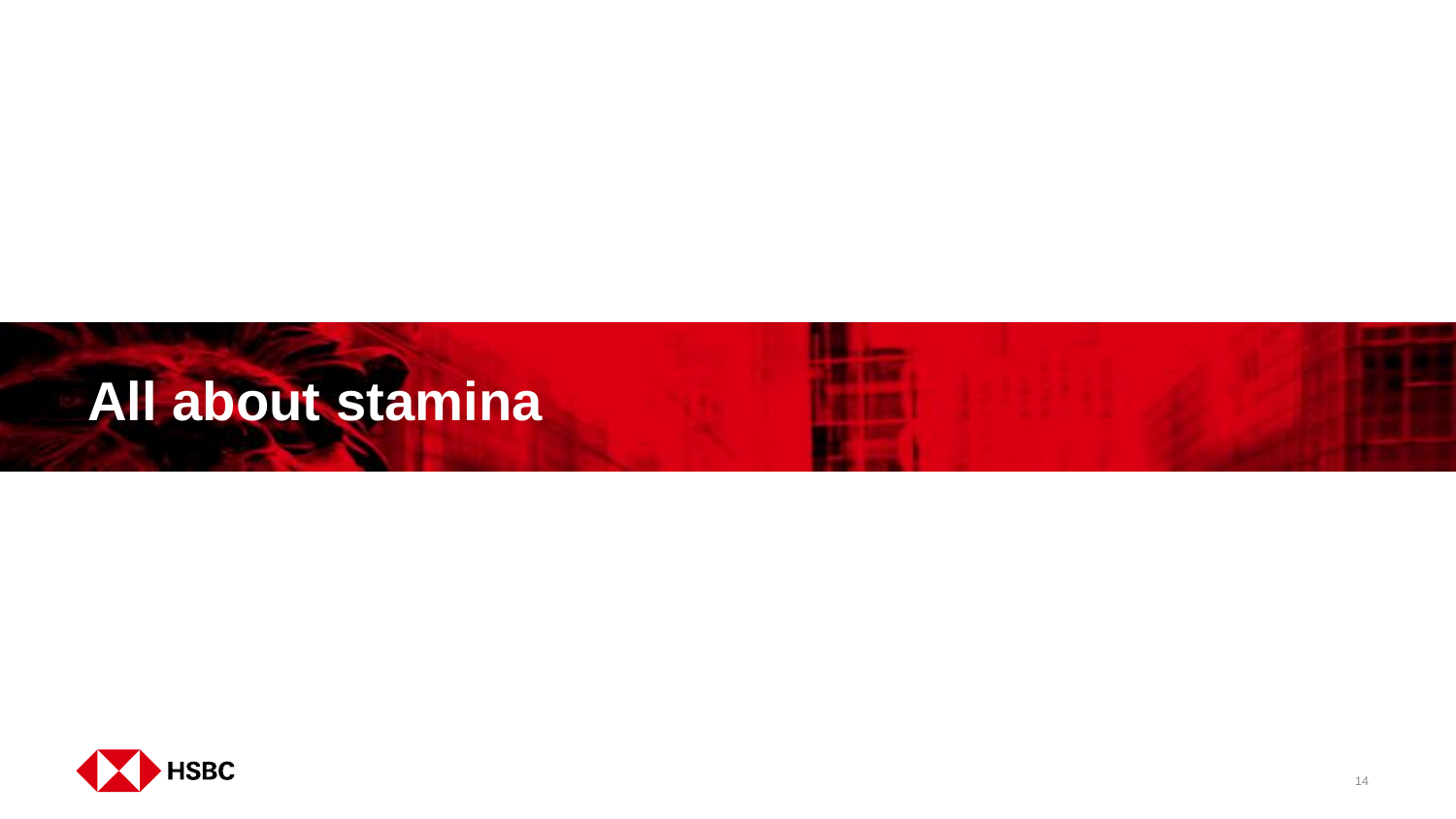# **All about stamina**

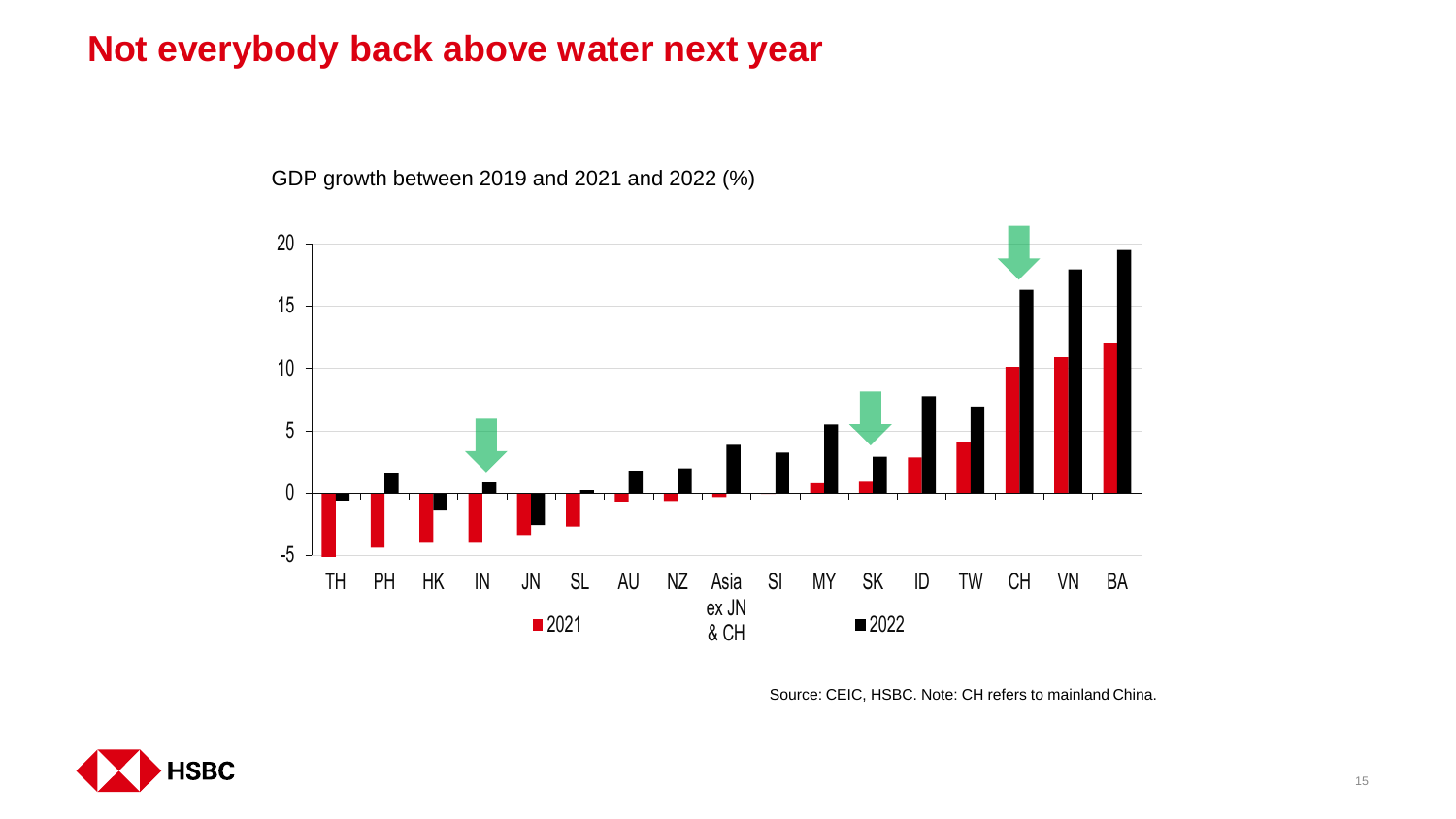### **Not everybody back above water next year**

-5 0 5 10 15 20 TH PH HK IN JN SL AU NZ Asia ex JN & CH SI MY SK ID TW CH VN BA  $\blacksquare$  2021 2022

GDP growth between 2019 and 2021 and 2022 (%)

Source: CEIC, HSBC. Note: CH refers to mainland China.

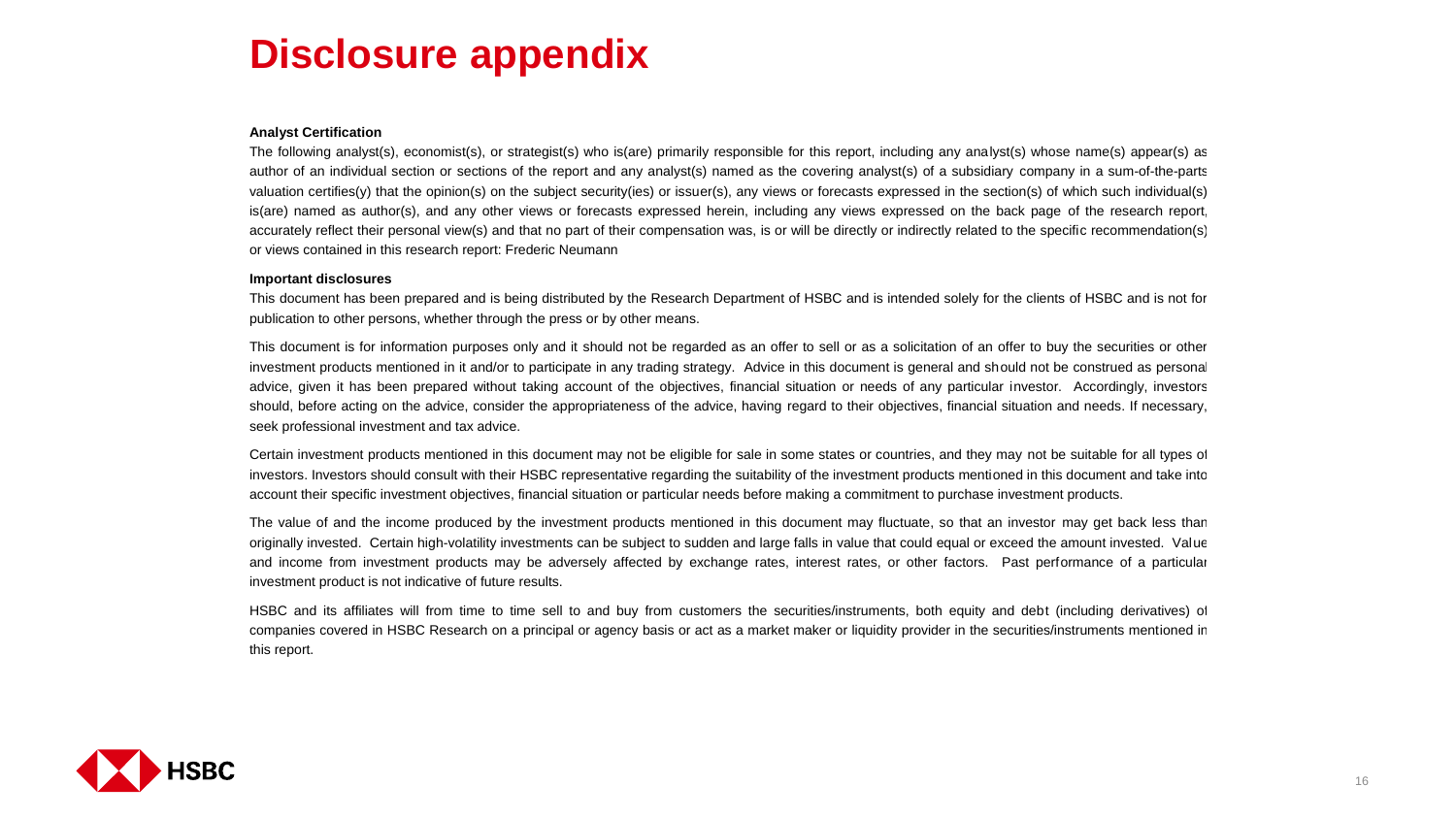# **Disclosure appendix**

#### **Analyst Certification**

The following analyst(s), economist(s), or strategist(s) who is(are) primarily responsible for this report, including any analyst(s) whose name(s) appear(s) as author of an individual section or sections of the report and any analyst(s) named as the covering analyst(s) of a subsidiary company in a sum-of-the-parts valuation certifies(y) that the opinion(s) on the subject security(ies) or issuer(s), any views or forecasts expressed in the section(s) of which such individual(s) is(are) named as author(s), and any other views or forecasts expressed herein, including any views expressed on the back page of the research report, accurately reflect their personal view(s) and that no part of their compensation was, is or will be directly or indirectly related to the specific recommendation(s) or views contained in this research report: Frederic Neumann

#### **Important disclosures**

This document has been prepared and is being distributed by the Research Department of HSBC and is intended solely for the clients of HSBC and is not for publication to other persons, whether through the press or by other means.

This document is for information purposes only and it should not be regarded as an offer to sell or as a solicitation of an offer to buy the securities or other investment products mentioned in it and/or to participate in any trading strategy. Advice in this document is general and should not be construed as personal advice, given it has been prepared without taking account of the objectives, financial situation or needs of any particular investor. Accordingly, investors should, before acting on the advice, consider the appropriateness of the advice, having regard to their objectives, financial situation and needs. If necessary, seek professional investment and tax advice.

Certain investment products mentioned in this document may not be eligible for sale in some states or countries, and they may not be suitable for all types of investors. Investors should consult with their HSBC representative regarding the suitability of the investment products mentioned in this document and take into account their specific investment objectives, financial situation or particular needs before making a commitment to purchase investment products.

The value of and the income produced by the investment products mentioned in this document may fluctuate, so that an investor may get back less than originally invested. Certain high-volatility investments can be subject to sudden and large falls in value that could equal or exceed the amount invested. Value and income from investment products may be adversely affected by exchange rates, interest rates, or other factors. Past performance of a particular investment product is not indicative of future results.

HSBC and its affiliates will from time to time sell to and buy from customers the securities/instruments, both equity and debt (including derivatives) of companies covered in HSBC Research on a principal or agency basis or act as a market maker or liquidity provider in the securities/instruments mentioned in this report.

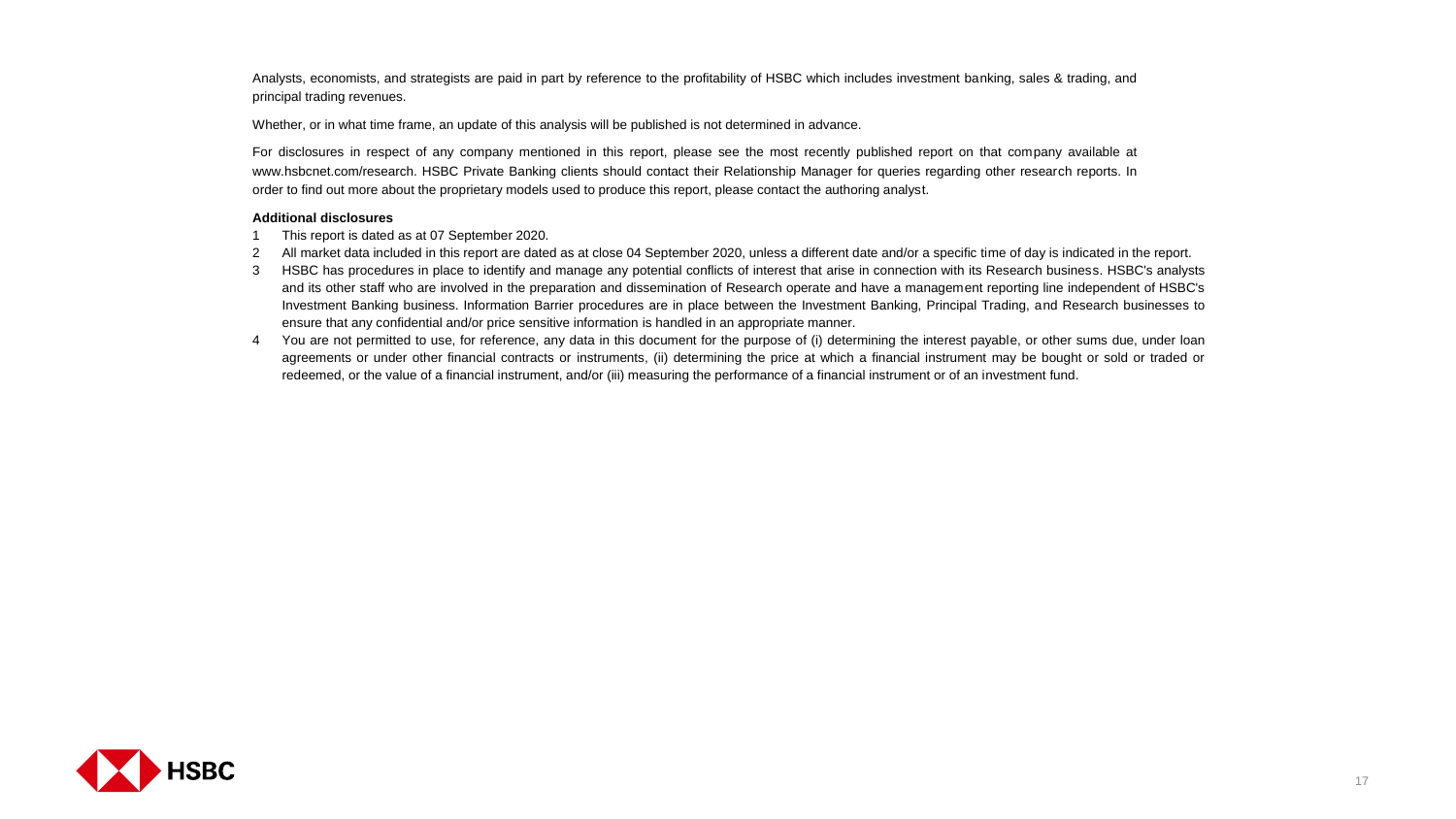Analysts, economists, and strategists are paid in part by reference to the profitability of HSBC which includes investment banking, sales & trading, and principal trading revenues.

Whether, or in what time frame, an update of this analysis will be published is not determined in advance.

For disclosures in respect of any company mentioned in this report, please see the most recently published report on that company available at www.hsbcnet.com/research. HSBC Private Banking clients should contact their Relationship Manager for queries regarding other research reports. In order to find out more about the proprietary models used to produce this report, please contact the authoring analyst.

#### **Additional disclosures**

- 1 This report is dated as at 07 September 2020.
- 2 All market data included in this report are dated as at close 04 September 2020, unless a different date and/or a specific time of day is indicated in the report.
- 3 HSBC has procedures in place to identify and manage any potential conflicts of interest that arise in connection with its Research business. HSBC's analysts and its other staff who are involved in the preparation and dissemination of Research operate and have a management reporting line independent of HSBC's Investment Banking business. Information Barrier procedures are in place between the Investment Banking, Principal Trading, and Research businesses to ensure that any confidential and/or price sensitive information is handled in an appropriate manner.
- 4 You are not permitted to use, for reference, any data in this document for the purpose of (i) determining the interest payable, or other sums due, under loan agreements or under other financial contracts or instruments, (ii) determining the price at which a financial instrument may be bought or sold or traded or redeemed, or the value of a financial instrument, and/or (iii) measuring the performance of a financial instrument or of an investment fund.